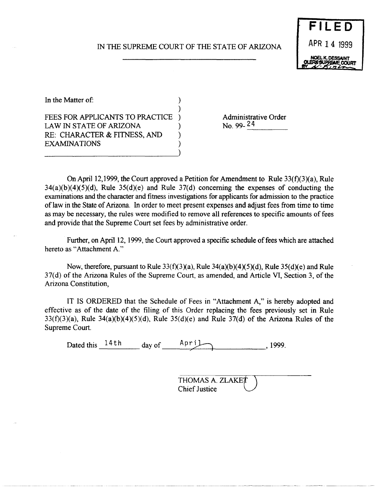## IN THE SUPREME COURT OF THE STATE OF ARIZONA

)

)



In the Matter of:  $\qquad \qquad$  )

FEES FOR APPLICANTS TO PRACTICE ) LAW IN STATE OF ARIZONA  $($ RE: CHARACTER & FITNESS, AND **EXAMINATIONS** 

Administrative Order<br>No. 99-24 No. 99- 24

On April 12,1999, the Court approved a Petition for Amendment to Rule 33(f)(3)(a), Rule  $34(a)(b)(4)(5)(d)$ , Rule  $35(d)(e)$  and Rule  $37(d)$  concerning the expenses of conducting the examinations and the character and fitness investigations for applicants for admission to the practice oflaw in the State of Arizona. In order to meet present expenses and adjust fees from time to time as may be necessary, the rules were modified to remove all references to specific amounts of fees and provide that the Supreme Court set fees by administrative order.

Further, on April 12, 1999, the Court approved a specific schedule of fees which are attached hereto as "Attachment A."

Now, therefore, pursuant to Rule  $33(f)(3)(a)$ , Rule  $34(a)(b)(4)(5)(d)$ , Rule  $35(d)(e)$  and Rule 37(d) of the Arizona Rules of the Supreme Court, as amended, and Article VI, Section 3, of the Arizona Constitution,

IT IS ORDERED that the Schedule of Fees in "Attachment A," is hereby adopted and effective as of the date of the filing of this Order replacing the fees previously set in Rule  $33(f)(3)(a)$ , Rule  $34(a)(b)(4)(5)(d)$ , Rule  $35(d)(e)$  and Rule  $37(d)$  of the Arizona Rules of the Supreme Court.

Dated this  $\frac{14 \text{ th}}{4}$  day of  $\frac{\text{April}}{4}$ , 1999.

THOMAS A. ZLAKET Chief Justice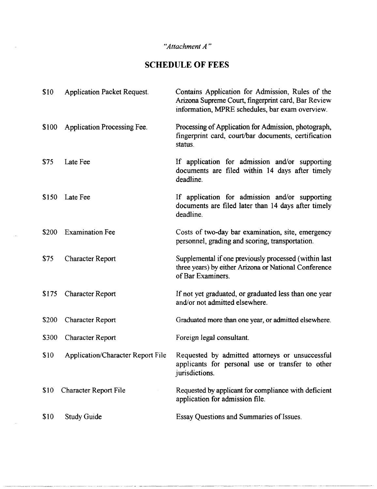## *"Attachment A"*

## **SCHEDULE OF FEES**

| \$10  | <b>Application Packet Request.</b> | Contains Application for Admission, Rules of the<br>Arizona Supreme Court, fingerprint card, Bar Review<br>information, MPRE schedules, bar exam overview. |
|-------|------------------------------------|------------------------------------------------------------------------------------------------------------------------------------------------------------|
| \$100 | Application Processing Fee.        | Processing of Application for Admission, photograph,<br>fingerprint card, court/bar documents, certification<br>status.                                    |
| \$75  | Late Fee                           | If application for admission and/or supporting<br>documents are filed within 14 days after timely<br>deadline.                                             |
| \$150 | Late Fee                           | If application for admission and/or supporting<br>documents are filed later than 14 days after timely<br>deadline.                                         |
| \$200 | <b>Examination Fee</b>             | Costs of two-day bar examination, site, emergency<br>personnel, grading and scoring, transportation.                                                       |
| \$75  | <b>Character Report</b>            | Supplemental if one previously processed (within last<br>three years) by either Arizona or National Conference<br>of Bar Examiners.                        |
| \$175 | <b>Character Report</b>            | If not yet graduated, or graduated less than one year<br>and/or not admitted elsewhere.                                                                    |
| \$200 | <b>Character Report</b>            | Graduated more than one year, or admitted elsewhere.                                                                                                       |
| \$300 | <b>Character Report</b>            | Foreign legal consultant.                                                                                                                                  |
| \$10  | Application/Character Report File  | Requested by admitted attorneys or unsuccessful<br>applicants for personal use or transfer to other<br>jurisdictions.                                      |
| \$10  | Character Report File              | Requested by applicant for compliance with deficient<br>application for admission file.                                                                    |
| \$10  | <b>Study Guide</b>                 | Essay Questions and Summaries of Issues.                                                                                                                   |